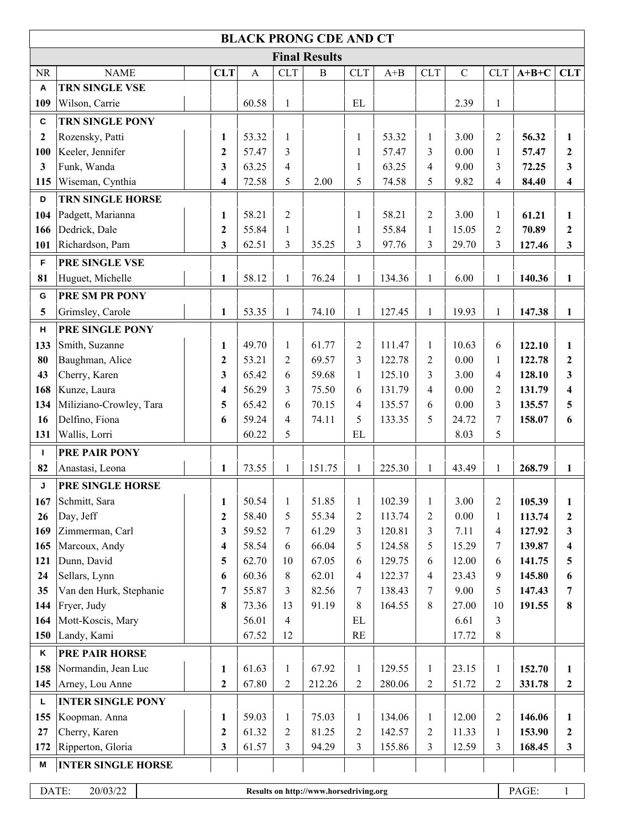| <b>BLACK PRONG CDE AND CT</b>  |                               |                         |              |                |                                        |                |         |                |             |                |         |                         |
|--------------------------------|-------------------------------|-------------------------|--------------|----------------|----------------------------------------|----------------|---------|----------------|-------------|----------------|---------|-------------------------|
| <b>Final Results</b>           |                               |                         |              |                |                                        |                |         |                |             |                |         |                         |
| <b>NR</b>                      | <b>NAME</b>                   | <b>CLT</b>              | $\mathbf{A}$ | <b>CLT</b>     | $\bf{B}$                               | <b>CLT</b>     | $A + B$ | <b>CLT</b>     | $\mathbf C$ | <b>CLT</b>     | $A+B+C$ | <b>CLT</b>              |
| A                              | TRN SINGLE VSE                |                         |              |                |                                        |                |         |                |             |                |         |                         |
| 109                            | Wilson, Carrie                |                         | 60.58        | $\mathbf{1}$   |                                        | $\mathbf{EL}$  |         |                | 2.39        | 1              |         |                         |
| $\mathbf{C}$                   | <b>TRN SINGLE PONY</b>        |                         |              |                |                                        |                |         |                |             |                |         |                         |
| $\mathbf{2}$                   | Rozensky, Patti               | 1                       | 53.32        | $\mathbf{1}$   |                                        | $\mathbf{1}$   | 53.32   | 1              | 3.00        | 2              | 56.32   | $\mathbf{1}$            |
| 100                            | Keeler, Jennifer              | $\mathbf{2}$            | 57.47        | 3              |                                        | $\mathbf{1}$   | 57.47   | 3              | 0.00        | $\mathbf{1}$   | 57.47   | $\boldsymbol{2}$        |
| 3                              | Funk, Wanda                   | 3                       | 63.25        | $\overline{4}$ |                                        | $\mathbf{1}$   | 63.25   | 4              | 9.00        | 3              | 72.25   | 3                       |
| 115                            | Wiseman, Cynthia              | $\overline{\mathbf{4}}$ | 72.58        | 5              | 2.00                                   | 5              | 74.58   | 5              | 9.82        | 4              | 84.40   | $\overline{\mathbf{4}}$ |
| D                              | TRN SINGLE HORSE              |                         |              |                |                                        |                |         |                |             |                |         |                         |
| 104                            | Padgett, Marianna             | 1                       | 58.21        | $\overline{2}$ |                                        | $\mathbf{1}$   | 58.21   | 2              | 3.00        | $\mathbf{1}$   | 61.21   | 1                       |
| 166                            | Dedrick, Dale                 | $\mathbf{2}$            | 55.84        | $\mathbf{1}$   |                                        | $\mathbf{1}$   | 55.84   | $\mathbf{1}$   | 15.05       | $\overline{2}$ | 70.89   | $\mathbf{2}$            |
| 101                            | Richardson, Pam               | 3                       | 62.51        | 3              | 35.25                                  | 3              | 97.76   | 3              | 29.70       | 3              | 127.46  | $\mathbf{3}$            |
| F                              | PRE SINGLE VSE                |                         |              |                |                                        |                |         |                |             |                |         |                         |
| 81                             | Huguet, Michelle              | $\mathbf{1}$            | 58.12        | $\mathbf{1}$   | 76.24                                  | $\mathbf{1}$   | 134.36  | $\mathbf{1}$   | 6.00        | $\mathbf{1}$   | 140.36  | $\mathbf{1}$            |
| G                              | PRE SM PR PONY                |                         |              |                |                                        |                |         |                |             |                |         |                         |
| 5                              | Grimsley, Carole              | $\mathbf{1}$            | 53.35        | $\mathbf{1}$   | 74.10                                  | $\mathbf{1}$   | 127.45  | $\mathbf{1}$   | 19.93       | $\mathbf{1}$   | 147.38  | $\mathbf{1}$            |
| н                              | PRE SINGLE PONY               |                         |              |                |                                        |                |         |                |             |                |         |                         |
| 133                            | Smith, Suzanne                | 1                       | 49.70        | $\mathbf{1}$   | 61.77                                  | $\sqrt{2}$     | 111.47  | $\mathbf{1}$   | 10.63       | 6              | 122.10  | $\mathbf{1}$            |
| 80                             | Baughman, Alice               | $\mathbf{2}$            | 53.21        | 2              | 69.57                                  | 3              | 122.78  | $\overline{2}$ | 0.00        | 1              | 122.78  | $\boldsymbol{2}$        |
| 43                             | Cherry, Karen                 | 3                       | 65.42        | 6              | 59.68                                  | $\mathbf{1}$   | 125.10  | 3              | 3.00        | 4              | 128.10  | 3                       |
| 168                            | Kunze, Laura                  | $\overline{\mathbf{4}}$ | 56.29        | 3              | 75.50                                  | 6              | 131.79  | 4              | 0.00        | 2              | 131.79  | $\overline{\mathbf{4}}$ |
| 134                            | Miliziano-Crowley, Tara       | 5                       | 65.42        | 6              | 70.15                                  | $\overline{4}$ | 135.57  | 6              | 0.00        | 3              | 135.57  | 5                       |
| 16                             | Delfino, Fiona                | 6                       | 59.24        | $\overline{4}$ | 74.11                                  | 5              | 133.35  | 5              | 24.72       | 7              | 158.07  | 6                       |
| 131                            | Wallis, Lorri                 |                         | 60.22        | 5              |                                        | EL             |         |                | 8.03        | 5              |         |                         |
| $\mathbf{I}$                   | PRE PAIR PONY                 |                         |              |                |                                        |                |         |                |             |                |         |                         |
| 82                             | Anastasi, Leona               | 1                       | 73.55        | $\mathbf{1}$   | 151.75                                 | $\mathbf{1}$   | 225.30  | $\mathbf{1}$   | 43.49       | 1              | 268.79  | $\mathbf{1}$            |
| J                              | PRE SINGLE HORSE              |                         |              |                |                                        |                |         |                |             |                |         |                         |
| 167                            | $\mathbf{L}$<br>Schmitt, Sara | 1                       | 50.54        | 1              | 51.85                                  | $\mathbf{1}$   | 102.39  | 1              | 3.00        | $\overline{2}$ | 105.39  | 1                       |
| 26                             | Day, Jeff                     | $\boldsymbol{2}$        | 58.40        | 5              | 55.34                                  | $\overline{2}$ | 113.74  | $\overline{c}$ | 0.00        | $\mathbf{1}$   | 113.74  | $\overline{2}$          |
| 169                            | Zimmerman, Carl               | 3                       | 59.52        | 7              | 61.29                                  | 3              | 120.81  | 3              | 7.11        | $\overline{4}$ | 127.92  | 3                       |
| 165                            | Marcoux, Andy                 | $\overline{\mathbf{4}}$ | 58.54        | 6              | 66.04                                  | 5              | 124.58  | 5              | 15.29       | 7              | 139.87  | 4                       |
| 121                            | Dunn, David                   | 5                       | 62.70        | 10             | 67.05                                  | 6              | 129.75  | 6              | 12.00       | 6              | 141.75  | 5                       |
| 24                             | Sellars, Lynn                 | 6                       | 60.36        | 8              | 62.01                                  | $\overline{4}$ | 122.37  | 4              | 23.43       | 9              | 145.80  | 6                       |
| 35                             | Van den Hurk, Stephanie       | 7                       | 55.87        | 3              | 82.56                                  | $\tau$         | 138.43  | 7              | 9.00        | 5              | 147.43  | 7                       |
| 144                            | Fryer, Judy                   | 8                       | 73.36        | 13             | 91.19                                  | 8              | 164.55  | 8              | 27.00       | 10             | 191.55  | 8                       |
| 164                            | Mott-Koscis, Mary             |                         | 56.01        | $\overline{4}$ |                                        | EL             |         |                | 6.61        | 3              |         |                         |
| 150                            | Landy, Kami                   |                         | 67.52        | 12             |                                        | $\mathbf{RE}$  |         |                | 17.72       | $8\,$          |         |                         |
| Κ                              | PRE PAIR HORSE                |                         |              |                |                                        |                |         |                |             |                |         |                         |
| 158                            | Normandin, Jean Luc           | 1                       | 61.63        | $\mathbf{1}$   | 67.92                                  | $\mathbf{1}$   | 129.55  | $\mathbf{1}$   | 23.15       | 1              | 152.70  | $\mathbf{1}$            |
| 145                            | Arney, Lou Anne               | $\mathbf{2}$            | 67.80        | $\sqrt{2}$     | 212.26                                 | $\overline{2}$ | 280.06  | $\overline{2}$ | 51.72       | $\overline{2}$ | 331.78  | $\overline{2}$          |
| L                              | <b>INTER SINGLE PONY</b>      |                         |              |                |                                        |                |         |                |             |                |         |                         |
| 155                            | Koopman. Anna                 | 1                       | 59.03        | $\mathbf{1}$   | 75.03                                  | $\mathbf{1}$   | 134.06  | $\mathbf{1}$   | 12.00       | $\overline{2}$ | 146.06  | $\mathbf{1}$            |
| 27                             | Cherry, Karen                 | $\mathbf{2}$            | 61.32        | $\overline{2}$ | 81.25                                  | $\overline{c}$ | 142.57  | $\overline{2}$ | 11.33       | 1              | 153.90  | $\mathbf{2}$            |
| 172                            | Ripperton, Gloria             | 3                       | 61.57        | $\overline{3}$ | 94.29                                  | $\mathfrak{Z}$ | 155.86  | 3              | 12.59       | 3              | 168.45  | $\mathbf{3}$            |
| M<br><b>INTER SINGLE HORSE</b> |                               |                         |              |                |                                        |                |         |                |             |                |         |                         |
|                                |                               |                         |              |                |                                        |                |         |                |             |                |         |                         |
|                                | DATE:<br>20/03/22             |                         |              |                | Results on http://www.horsedriving.org |                |         |                |             |                | PAGE:   | $\mathbf{1}$            |